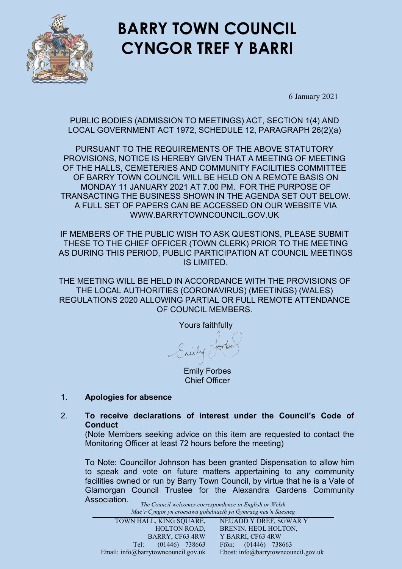

# **BARRY TOWN COUNCIL CYNGOR TREF Y BARRI**

6 January 2021

PUBLIC BODIES (ADMISSION TO MEETINGS) ACT, SECTION 1(4) AND LOCAL GOVERNMENT ACT 1972, SCHEDULE 12, PARAGRAPH 26(2)(a)

PURSUANT TO THE REQUIREMENTS OF THE ABOVE STATUTORY PROVISIONS, NOTICE IS HEREBY GIVEN THAT A MEETING OF MEETING OF THE HALLS, CEMETERIES AND COMMUNITY FACILITIES COMMITTEE OF BARRY TOWN COUNCIL WILL BE HELD ON A REMOTE BASIS ON MONDAY 11 JANUARY 2021 AT 7.00 PM. FOR THE PURPOSE OF TRANSACTING THE BUSINESS SHOWN IN THE AGENDA SET OUT BELOW. A FULL SET OF PAPERS CAN BE ACCESSED ON OUR WEBSITE VIA WWW.BARRYTOWNCOUNCIL.GOV.UK

IF MEMBERS OF THE PUBLIC WISH TO ASK QUESTIONS, PLEASE SUBMIT THESE TO THE CHIEF OFFICER (TOWN CLERK) PRIOR TO THE MEETING AS DURING THIS PERIOD, PUBLIC PARTICIPATION AT COUNCIL MEETINGS IS LIMITED.

THE MEETING WILL BE HELD IN ACCORDANCE WITH THE PROVISIONS OF THE LOCAL AUTHORITIES (CORONAVIRUS) (MEETINGS) (WALES) REGULATIONS 2020 ALLOWING PARTIAL OR FULL REMOTE ATTENDANCE OF COUNCIL MEMBERS.

Yours faithfully ily /

Emily Forbes Chief Officer

### 1. **Apologies for absence**

2. **To receive declarations of interest under the Council's Code of Conduct**

(Note Members seeking advice on this item are requested to contact the Monitoring Officer at least 72 hours before the meeting)

To Note: Councillor Johnson has been granted Dispensation to allow him to speak and vote on future matters appertaining to any community facilities owned or run by Barry Town Council, by virtue that he is a Vale of Glamorgan Council Trustee for the Alexandra Gardens Community Association.

*The Council welcomes correspondence in English or Welsh Mae'r Cyngor yn croesawu gohebiaeth yn Gymraeg neu'n Saesneg*

| mac r Cyngor yn crocsawa goncometh yn Gymraeg neu n saesneg |                                     |
|-------------------------------------------------------------|-------------------------------------|
| TOWN HALL, KING SQUARE,                                     | NEUADD Y DREF, SGWÂR Y              |
| <b>HOLTON ROAD,</b>                                         | BRENIN, HEOL HOLTON,                |
| BARRY, CF63 4RW                                             | Y BARRI, CF63 4RW                   |
| $(01446)$ 738663<br>Tel: 7                                  | Ffôn: $(01446)$ 738663              |
| Email: info@barrytowncouncil.gov.uk                         | Ebost: info@barrytowncouncil.gov.uk |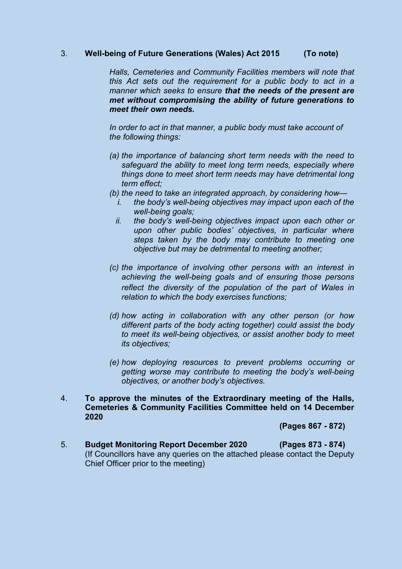#### 3. **Well-being of Future Generations (Wales) Act 2015 (To note)**

*Halls, Cemeteries and Community Facilities members will note that this Act sets out the requirement for a public body to act in a manner which seeks to ensure that the needs of the present are met without compromising the ability of future generations to meet their own needs.*

*In order to act in that manner, a public body must take account of the following things:*

- *(a) the importance of balancing short term needs with the need to safeguard the ability to meet long term needs, especially where things done to meet short term needs may have detrimental long term effect;*
- *(b) the need to take an integrated approach, by considering how*
	- *i. the body's well-being objectives may impact upon each of the well-being goals;*
	- *ii. the body's well-being objectives impact upon each other or upon other public bodies' objectives, in particular where steps taken by the body may contribute to meeting one objective but may be detrimental to meeting another;*
- *(c) the importance of involving other persons with an interest in achieving the well-being goals and of ensuring those persons reflect the diversity of the population of the part of Wales in relation to which the body exercises functions;*
- *(d) how acting in collaboration with any other person (or how different parts of the body acting together) could assist the body to meet its well-being objectives, or assist another body to meet its objectives;*
- *(e) how deploying resources to prevent problems occurring or getting worse may contribute to meeting the body's well-being objectives, or another body's objectives.*
- 4. **To approve the minutes of the Extraordinary meeting of the Halls, Cemeteries & Community Facilities Committee held on 14 December 2020**

**(Pages 867 - 872)** 

5. **Budget Monitoring Report December 2020 (Pages 873 - 874)**  (If Councillors have any queries on the attached please contact the Deputy Chief Officer prior to the meeting)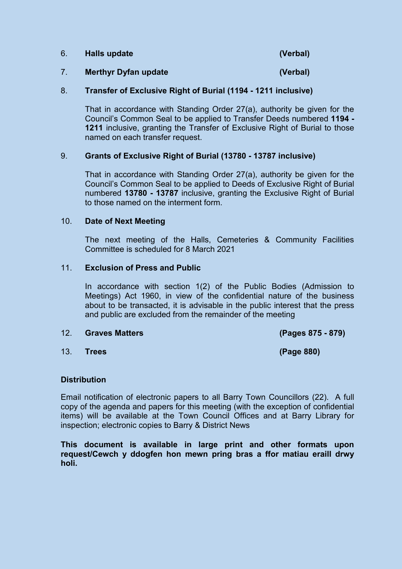| 6. | <b>Halls update</b> | (Verbal) |
|----|---------------------|----------|
|    |                     |          |

## 7. **Merthyr Dyfan update (Verbal)**

#### 8. **Transfer of Exclusive Right of Burial (1194 - 1211 inclusive)**

That in accordance with Standing Order 27(a), authority be given for the Council's Common Seal to be applied to Transfer Deeds numbered **1194 - 1211** inclusive, granting the Transfer of Exclusive Right of Burial to those named on each transfer request.

#### 9. **Grants of Exclusive Right of Burial (13780 - 13787 inclusive)**

That in accordance with Standing Order 27(a), authority be given for the Council's Common Seal to be applied to Deeds of Exclusive Right of Burial numbered **13780 - 13787** inclusive, granting the Exclusive Right of Burial to those named on the interment form.

#### 10. **Date of Next Meeting**

The next meeting of the Halls, Cemeteries & Community Facilities Committee is scheduled for 8 March 2021

#### 11. **Exclusion of Press and Public**

In accordance with section 1(2) of the Public Bodies (Admission to Meetings) Act 1960, in view of the confidential nature of the business about to be transacted, it is advisable in the public interest that the press and public are excluded from the remainder of the meeting

#### 12. **Graves Matters (Pages 875 - 879)**

13. **Trees (Page 880)**

#### **Distribution**

Email notification of electronic papers to all Barry Town Councillors (22). A full copy of the agenda and papers for this meeting (with the exception of confidential items) will be available at the Town Council Offices and at Barry Library for inspection; electronic copies to Barry & District News

**This document is available in large print and other formats upon request/Cewch y ddogfen hon mewn pring bras a ffor matiau eraill drwy holi.**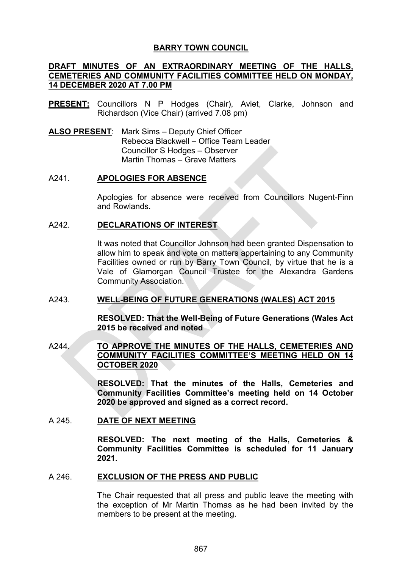#### **BARRY TOWN COUNCIL**

#### **DRAFT MINUTES OF AN EXTRAORDINARY MEETING OF THE HALLS, CEMETERIES AND COMMUNITY FACILITIES COMMITTEE HELD ON MONDAY, 14 DECEMBER 2020 AT 7.00 PM**

- **PRESENT:** Councillors N P Hodges (Chair), Aviet, Clarke, Johnson and Richardson (Vice Chair) (arrived 7.08 pm)
- **ALSO PRESENT**: Mark Sims Deputy Chief Officer Rebecca Blackwell – Office Team Leader Councillor S Hodges – Observer Martin Thomas – Grave Matters

#### A241. **APOLOGIES FOR ABSENCE**

Apologies for absence were received from Councillors Nugent-Finn and Rowlands.

#### A242. **DECLARATIONS OF INTEREST**

It was noted that Councillor Johnson had been granted Dispensation to allow him to speak and vote on matters appertaining to any Community Facilities owned or run by Barry Town Council, by virtue that he is a Vale of Glamorgan Council Trustee for the Alexandra Gardens Community Association.

#### A243. **WELL-BEING OF FUTURE GENERATIONS (WALES) ACT 2015**

**RESOLVED: That the Well-Being of Future Generations (Wales Act 2015 be received and noted** 

#### A244. **TO APPROVE THE MINUTES OF THE HALLS, CEMETERIES AND COMMUNITY FACILITIES COMMITTEE'S MEETING HELD ON 14 OCTOBER 2020**

**RESOLVED: That the minutes of the Halls, Cemeteries and Community Facilities Committee's meeting held on 14 October 2020 be approved and signed as a correct record.** 

#### A 245. **DATE OF NEXT MEETING**

**RESOLVED: The next meeting of the Halls, Cemeteries & Community Facilities Committee is scheduled for 11 January 2021.**

#### A 246. **EXCLUSION OF THE PRESS AND PUBLIC**

The Chair requested that all press and public leave the meeting with the exception of Mr Martin Thomas as he had been invited by the members to be present at the meeting.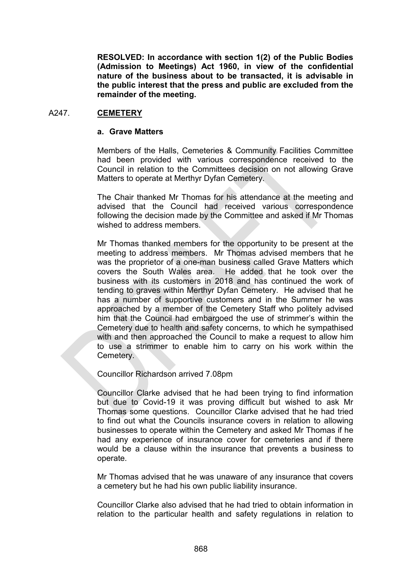**RESOLVED: In accordance with section 1(2) of the Public Bodies (Admission to Meetings) Act 1960, in view of the confidential nature of the business about to be transacted, it is advisable in the public interest that the press and public are excluded from the remainder of the meeting.**

#### A247. **CEMETERY**

#### **a. Grave Matters**

Members of the Halls, Cemeteries & Community Facilities Committee had been provided with various correspondence received to the Council in relation to the Committees decision on not allowing Grave Matters to operate at Merthyr Dyfan Cemetery.

The Chair thanked Mr Thomas for his attendance at the meeting and advised that the Council had received various correspondence following the decision made by the Committee and asked if Mr Thomas wished to address members.

Mr Thomas thanked members for the opportunity to be present at the meeting to address members. Mr Thomas advised members that he was the proprietor of a one-man business called Grave Matters which covers the South Wales area. He added that he took over the business with its customers in 2018 and has continued the work of tending to graves within Merthyr Dyfan Cemetery. He advised that he has a number of supportive customers and in the Summer he was approached by a member of the Cemetery Staff who politely advised him that the Council had embargoed the use of strimmer's within the Cemetery due to health and safety concerns, to which he sympathised with and then approached the Council to make a request to allow him to use a strimmer to enable him to carry on his work within the Cemetery.

Councillor Richardson arrived 7.08pm

Councillor Clarke advised that he had been trying to find information but due to Covid-19 it was proving difficult but wished to ask Mr Thomas some questions. Councillor Clarke advised that he had tried to find out what the Councils insurance covers in relation to allowing businesses to operate within the Cemetery and asked Mr Thomas if he had any experience of insurance cover for cemeteries and if there would be a clause within the insurance that prevents a business to operate.

Mr Thomas advised that he was unaware of any insurance that covers a cemetery but he had his own public liability insurance.

Councillor Clarke also advised that he had tried to obtain information in relation to the particular health and safety regulations in relation to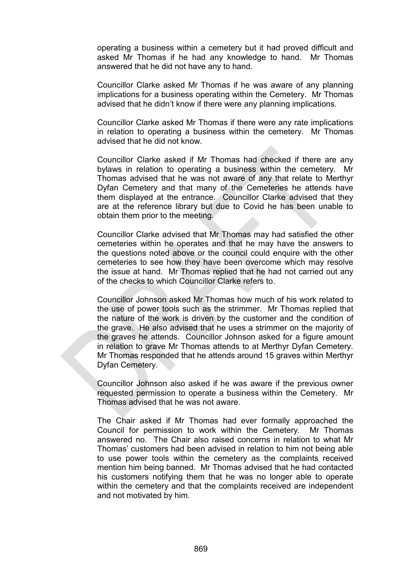operating a business within a cemetery but it had proved difficult and asked Mr Thomas if he had any knowledge to hand. Mr Thomas answered that he did not have any to hand.

Councillor Clarke asked Mr Thomas if he was aware of any planning implications for a business operating within the Cemetery. Mr Thomas advised that he didn't know if there were any planning implications.

Councillor Clarke asked Mr Thomas if there were any rate implications in relation to operating a business within the cemetery. Mr Thomas advised that he did not know.

Councillor Clarke asked if Mr Thomas had checked if there are any bylaws in relation to operating a business within the cemetery. Mr Thomas advised that he was not aware of any that relate to Merthyr Dyfan Cemetery and that many of the Cemeteries he attends have them displayed at the entrance. Councillor Clarke advised that they are at the reference library but due to Covid he has been unable to obtain them prior to the meeting.

Councillor Clarke advised that Mr Thomas may had satisfied the other cemeteries within he operates and that he may have the answers to the questions noted above or the council could enquire with the other cemeteries to see how they have been overcome which may resolve the issue at hand. Mr Thomas replied that he had not carried out any of the checks to which Councillor Clarke refers to.

Councillor Johnson asked Mr Thomas how much of his work related to the use of power tools such as the strimmer. Mr Thomas replied that the nature of the work is driven by the customer and the condition of the grave. He also advised that he uses a strimmer on the majority of the graves he attends. Councillor Johnson asked for a figure amount in relation to grave Mr Thomas attends to at Merthyr Dyfan Cemetery. Mr Thomas responded that he attends around 15 graves within Merthyr Dyfan Cemetery.

Councillor Johnson also asked if he was aware if the previous owner requested permission to operate a business within the Cemetery. Mr Thomas advised that he was not aware.

The Chair asked if Mr Thomas had ever formally approached the Council for permission to work within the Cemetery. Mr Thomas answered no. The Chair also raised concerns in relation to what Mr Thomas' customers had been advised in relation to him not being able to use power tools within the cemetery as the complaints received mention him being banned. Mr Thomas advised that he had contacted his customers notifying them that he was no longer able to operate within the cemetery and that the complaints received are independent and not motivated by him.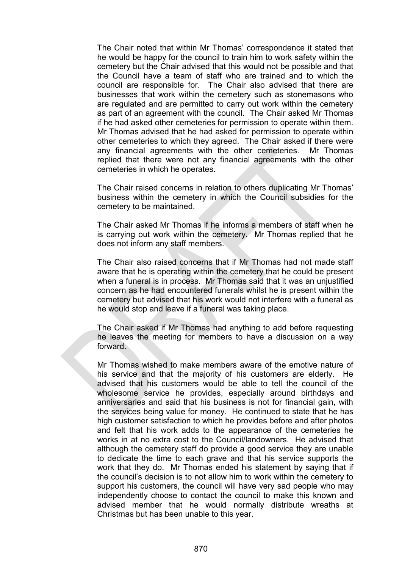The Chair noted that within Mr Thomas' correspondence it stated that he would be happy for the council to train him to work safety within the cemetery but the Chair advised that this would not be possible and that the Council have a team of staff who are trained and to which the council are responsible for. The Chair also advised that there are businesses that work within the cemetery such as stonemasons who are regulated and are permitted to carry out work within the cemetery as part of an agreement with the council. The Chair asked Mr Thomas if he had asked other cemeteries for permission to operate within them. Mr Thomas advised that he had asked for permission to operate within other cemeteries to which they agreed. The Chair asked if there were any financial agreements with the other cemeteries. Mr Thomas replied that there were not any financial agreements with the other cemeteries in which he operates.

The Chair raised concerns in relation to others duplicating Mr Thomas' business within the cemetery in which the Council subsidies for the cemetery to be maintained.

The Chair asked Mr Thomas if he informs a members of staff when he is carrying out work within the cemetery. Mr Thomas replied that he does not inform any staff members.

The Chair also raised concerns that if Mr Thomas had not made staff aware that he is operating within the cemetery that he could be present when a funeral is in process. Mr Thomas said that it was an unjustified concern as he had encountered funerals whilst he is present within the cemetery but advised that his work would not interfere with a funeral as he would stop and leave if a funeral was taking place.

The Chair asked if Mr Thomas had anything to add before requesting he leaves the meeting for members to have a discussion on a way forward.

Mr Thomas wished to make members aware of the emotive nature of his service and that the majority of his customers are elderly. He advised that his customers would be able to tell the council of the wholesome service he provides, especially around birthdays and anniversaries and said that his business is not for financial gain, with the services being value for money. He continued to state that he has high customer satisfaction to which he provides before and after photos and felt that his work adds to the appearance of the cemeteries he works in at no extra cost to the Council/landowners. He advised that although the cemetery staff do provide a good service they are unable to dedicate the time to each grave and that his service supports the work that they do. Mr Thomas ended his statement by saying that if the council's decision is to not allow him to work within the cemetery to support his customers, the council will have very sad people who may independently choose to contact the council to make this known and advised member that he would normally distribute wreaths at Christmas but has been unable to this year.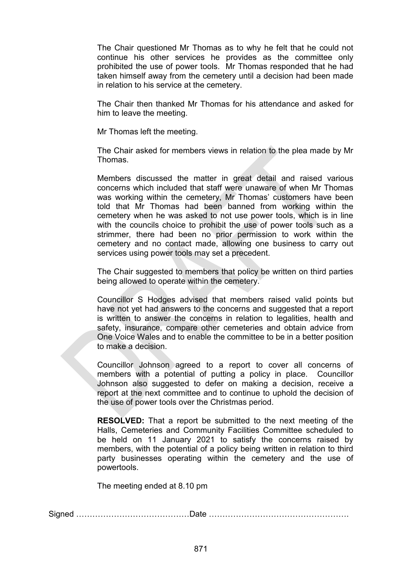The Chair questioned Mr Thomas as to why he felt that he could not continue his other services he provides as the committee only prohibited the use of power tools. Mr Thomas responded that he had taken himself away from the cemetery until a decision had been made in relation to his service at the cemetery.

The Chair then thanked Mr Thomas for his attendance and asked for him to leave the meeting.

Mr Thomas left the meeting.

The Chair asked for members views in relation to the plea made by Mr Thomas.

Members discussed the matter in great detail and raised various concerns which included that staff were unaware of when Mr Thomas was working within the cemetery, Mr Thomas' customers have been told that Mr Thomas had been banned from working within the cemetery when he was asked to not use power tools, which is in line with the councils choice to prohibit the use of power tools such as a strimmer, there had been no prior permission to work within the cemetery and no contact made, allowing one business to carry out services using power tools may set a precedent.

The Chair suggested to members that policy be written on third parties being allowed to operate within the cemetery.

Councillor S Hodges advised that members raised valid points but have not yet had answers to the concerns and suggested that a report is written to answer the concerns in relation to legalities, health and safety, insurance, compare other cemeteries and obtain advice from One Voice Wales and to enable the committee to be in a better position to make a decision.

Councillor Johnson agreed to a report to cover all concerns of members with a potential of putting a policy in place. Councillor Johnson also suggested to defer on making a decision, receive a report at the next committee and to continue to uphold the decision of the use of power tools over the Christmas period.

**RESOLVED:** That a report be submitted to the next meeting of the Halls, Cemeteries and Community Facilities Committee scheduled to be held on 11 January 2021 to satisfy the concerns raised by members, with the potential of a policy being written in relation to third party businesses operating within the cemetery and the use of powertools.

The meeting ended at 8.10 pm

Signed ……………………………………Date …………………………………………….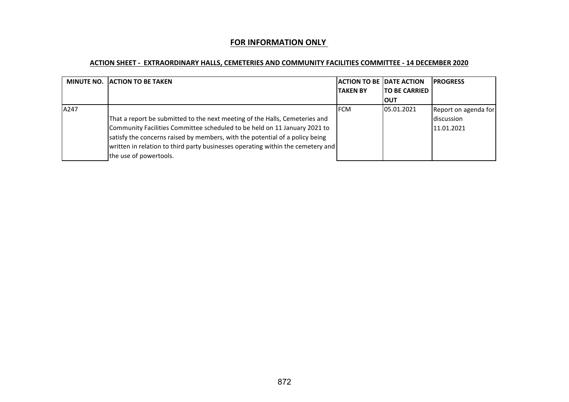#### **FOR INFORMATION ONLY**

#### **ACTION SHEET - EXTRAORDINARY HALLS, CEMETERIES AND COMMUNITY FACILITIES COMMITTEE - 14 DECEMBER 2020**

|      | <b>MINUTE NO. JACTION TO BE TAKEN</b>                                           | <b>ACTION TO BE IDATE ACTION</b> |                      | <b>IPROGRESS</b>     |
|------|---------------------------------------------------------------------------------|----------------------------------|----------------------|----------------------|
|      |                                                                                 | <b>ITAKEN BY</b>                 | <b>TO BE CARRIED</b> |                      |
|      |                                                                                 |                                  | ΙΟυτ                 |                      |
| A247 |                                                                                 | <b>IFCM</b>                      | 05.01.2021           | Report on agenda for |
|      | That a report be submitted to the next meeting of the Halls, Cemeteries and     |                                  |                      | discussion           |
|      | Community Facilities Committee scheduled to be held on 11 January 2021 to       |                                  |                      | 11.01.2021           |
|      | satisfy the concerns raised by members, with the potential of a policy being    |                                  |                      |                      |
|      | written in relation to third party businesses operating within the cemetery and |                                  |                      |                      |
|      | the use of powertools.                                                          |                                  |                      |                      |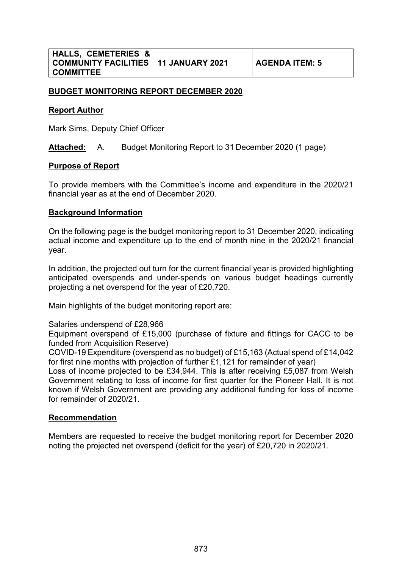#### **BUDGET MONITORING REPORT DECEMBER 2020**

#### **Report Author**

Mark Sims, Deputy Chief Officer

**Attached:** A. Budget Monitoring Report to 31 December 2020 (1 page)

#### **Purpose of Report**

To provide members with the Committee's income and expenditure in the 2020/21 financial year as at the end of December 2020.

#### **Background Information**

On the following page is the budget monitoring report to 31 December 2020, indicating actual income and expenditure up to the end of month nine in the 2020/21 financial year.

In addition, the projected out turn for the current financial year is provided highlighting anticipated overspends and under-spends on various budget headings currently projecting a net overspend for the year of £20,720.

Main highlights of the budget monitoring report are:

Salaries underspend of £28,966

Equipment overspend of £15,000 (purchase of fixture and fittings for CACC to be funded from Acquisition Reserve)

COVID-19 Expenditure (overspend as no budget) of £15,163 (Actual spend of £14,042 for first nine months with projection of further £1,121 for remainder of year)

Loss of income projected to be £34,944. This is after receiving £5,087 from Welsh Government relating to loss of income for first quarter for the Pioneer Hall. It is not known if Welsh Government are providing any additional funding for loss of income for remainder of 2020/21.

#### **Recommendation**

Members are requested to receive the budget monitoring report for December 2020 noting the projected net overspend (deficit for the year) of £20,720 in 2020/21.